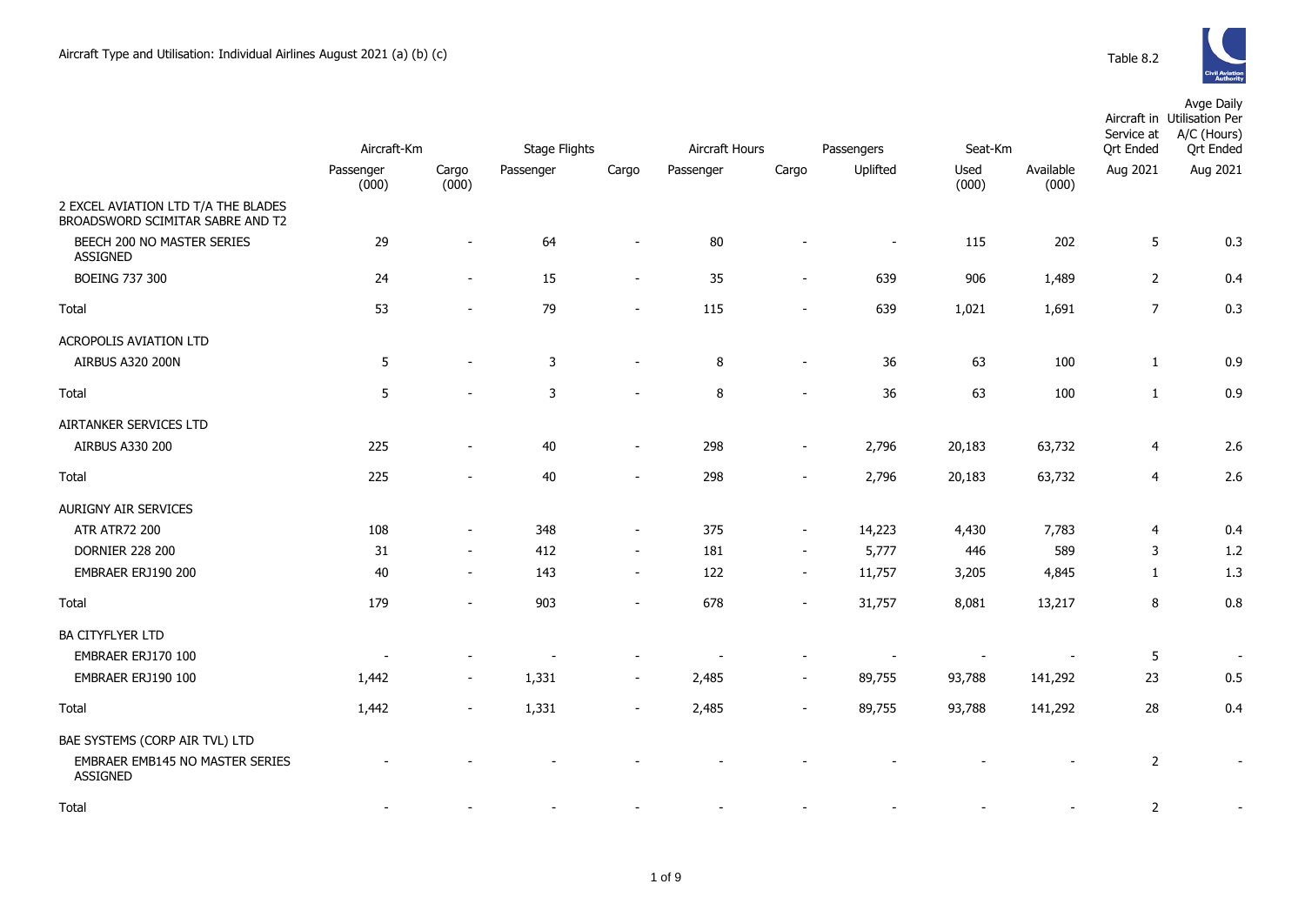

|                                                                         |                    |                          |                      |                          |                |                          |                          |               |                    | Avge Daily<br>Aircraft in Utilisation Per<br>Service at<br>A/C (Hours)<br><b>Qrt Ended</b> |                  |  |
|-------------------------------------------------------------------------|--------------------|--------------------------|----------------------|--------------------------|----------------|--------------------------|--------------------------|---------------|--------------------|--------------------------------------------------------------------------------------------|------------------|--|
|                                                                         | Aircraft-Km        |                          | <b>Stage Flights</b> |                          | Aircraft Hours |                          | Passengers               |               | Seat-Km            |                                                                                            | <b>Qrt Ended</b> |  |
|                                                                         | Passenger<br>(000) | Cargo<br>(000)           | Passenger            | Cargo                    | Passenger      | Cargo                    | Uplifted                 | Used<br>(000) | Available<br>(000) | Aug 2021                                                                                   | Aug 2021         |  |
| 2 EXCEL AVIATION LTD T/A THE BLADES<br>BROADSWORD SCIMITAR SABRE AND T2 |                    |                          |                      |                          |                |                          |                          |               |                    |                                                                                            |                  |  |
| BEECH 200 NO MASTER SERIES<br>ASSIGNED                                  | 29                 |                          | 64                   |                          | 80             |                          | $\overline{\phantom{a}}$ | 115           | 202                | 5                                                                                          | 0.3              |  |
| <b>BOEING 737 300</b>                                                   | 24                 |                          | 15                   | $\sim$                   | 35             | $\overline{\phantom{a}}$ | 639                      | 906           | 1,489              | $\overline{2}$                                                                             | 0.4              |  |
| Total                                                                   | 53                 |                          | 79                   |                          | 115            |                          | 639                      | 1,021         | 1,691              | $\overline{7}$                                                                             | 0.3              |  |
| ACROPOLIS AVIATION LTD                                                  |                    |                          |                      |                          |                |                          |                          |               |                    |                                                                                            |                  |  |
| AIRBUS A320 200N                                                        | $\overline{5}$     |                          | $\mathsf{3}$         | $\sim$                   | 8              | $\overline{\phantom{a}}$ | 36                       | 63            | 100                | $\mathbf{1}$                                                                               | 0.9              |  |
| Total                                                                   | 5                  |                          | 3                    |                          | 8              |                          | 36                       | 63            | 100                | $\mathbf{1}$                                                                               | 0.9              |  |
| AIRTANKER SERVICES LTD                                                  |                    |                          |                      |                          |                |                          |                          |               |                    |                                                                                            |                  |  |
| AIRBUS A330 200                                                         | 225                | $\overline{\phantom{a}}$ | 40                   | $\sim$                   | 298            | $\sim$                   | 2,796                    | 20,183        | 63,732             | $\overline{4}$                                                                             | 2.6              |  |
| Total                                                                   | 225                |                          | 40                   |                          | 298            | $\overline{\phantom{a}}$ | 2,796                    | 20,183        | 63,732             | $\overline{4}$                                                                             | 2.6              |  |
| AURIGNY AIR SERVICES                                                    |                    |                          |                      |                          |                |                          |                          |               |                    |                                                                                            |                  |  |
| <b>ATR ATR72 200</b>                                                    | 108                |                          | 348                  | $\sim$                   | 375            | $\sim$                   | 14,223                   | 4,430         | 7,783              | 4                                                                                          | 0.4              |  |
| <b>DORNIER 228 200</b>                                                  | 31                 | $\overline{\phantom{a}}$ | 412                  | $\sim$                   | 181            | $\sim$                   | 5,777                    | 446           | 589                | 3                                                                                          | 1.2              |  |
| EMBRAER ERJ190 200                                                      | 40                 | $\sim$                   | 143                  | $\sim$                   | 122            | $\sim$                   | 11,757                   | 3,205         | 4,845              | 1                                                                                          | 1.3              |  |
| Total                                                                   | 179                | $\blacksquare$           | 903                  | $\overline{\phantom{a}}$ | 678            | $\overline{\phantom{a}}$ | 31,757                   | 8,081         | 13,217             | 8                                                                                          | 0.8              |  |
| <b>BA CITYFLYER LTD</b>                                                 |                    |                          |                      |                          |                |                          |                          |               |                    |                                                                                            |                  |  |
| EMBRAER ERJ170 100                                                      |                    |                          |                      |                          |                |                          |                          |               |                    | 5                                                                                          |                  |  |
| EMBRAER ERJ190 100                                                      | 1,442              | $\sim$                   | 1,331                | $\overline{\phantom{a}}$ | 2,485          |                          | 89,755                   | 93,788        | 141,292            | 23                                                                                         | 0.5              |  |
| Total                                                                   | 1,442              |                          | 1,331                |                          | 2,485          |                          | 89,755                   | 93,788        | 141,292            | 28                                                                                         | 0.4              |  |
| BAE SYSTEMS (CORP AIR TVL) LTD                                          |                    |                          |                      |                          |                |                          |                          |               |                    |                                                                                            |                  |  |
| EMBRAER EMB145 NO MASTER SERIES<br>ASSIGNED                             |                    |                          |                      |                          |                |                          |                          |               |                    | $\overline{2}$                                                                             | $\blacksquare$   |  |
| Total                                                                   |                    |                          |                      |                          |                |                          |                          |               |                    | 2                                                                                          |                  |  |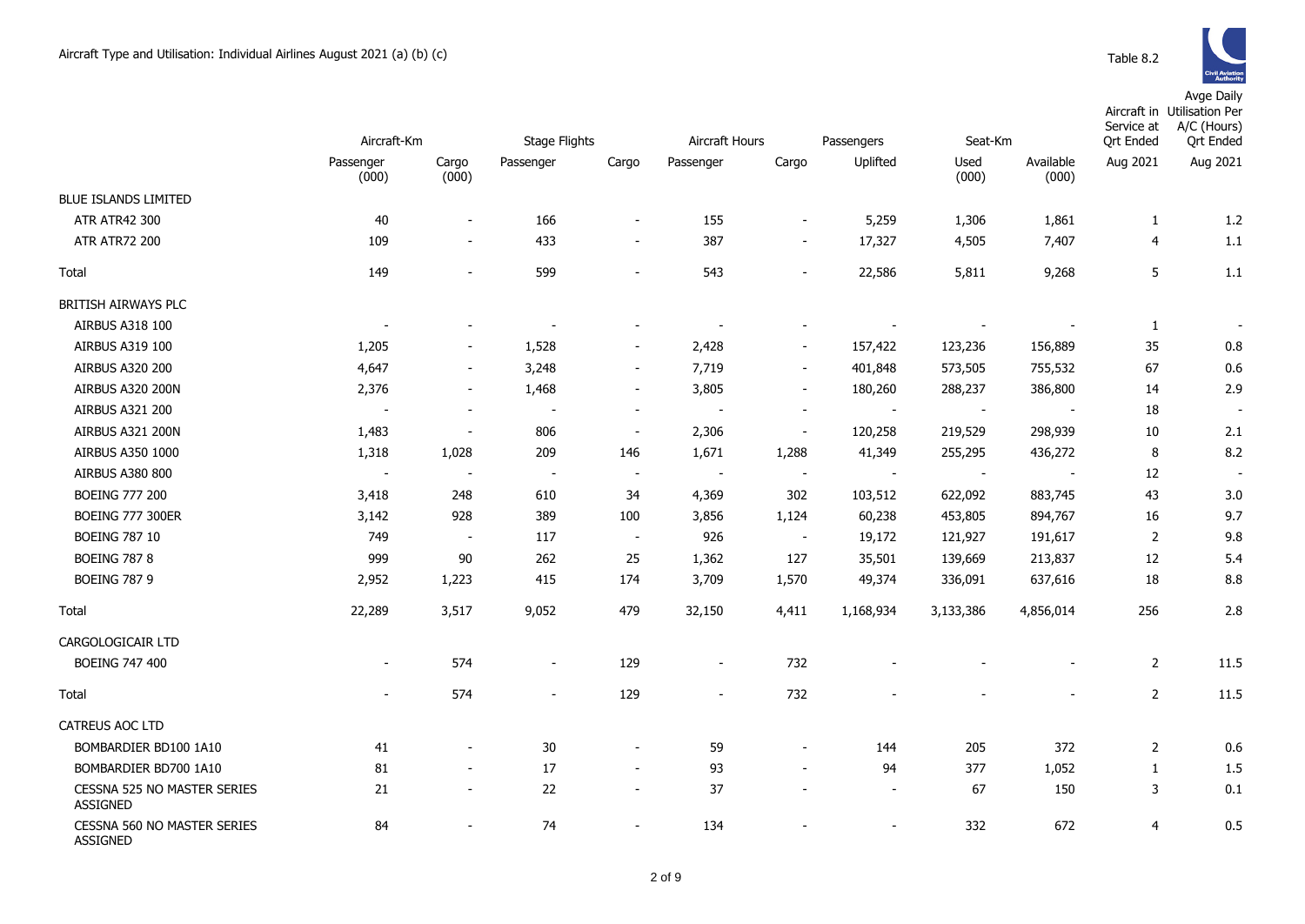Avge Daily

|                                                       | Aircraft-Km        |                          | Stage Flights            |                          | Aircraft Hours           |                          | Passengers               | Seat-Km                  |                    | Service at<br><b>Qrt Ended</b> | Aircraft in Utilisation Per<br>A/C (Hours)<br><b>Qrt Ended</b> |
|-------------------------------------------------------|--------------------|--------------------------|--------------------------|--------------------------|--------------------------|--------------------------|--------------------------|--------------------------|--------------------|--------------------------------|----------------------------------------------------------------|
|                                                       | Passenger<br>(000) | Cargo<br>(000)           | Passenger                | Cargo                    | Passenger                | Cargo                    | Uplifted                 | Used<br>(000)            | Available<br>(000) | Aug 2021                       | Aug 2021                                                       |
| <b>BLUE ISLANDS LIMITED</b>                           |                    |                          |                          |                          |                          |                          |                          |                          |                    |                                |                                                                |
| <b>ATR ATR42 300</b>                                  | 40                 | $\overline{\phantom{a}}$ | 166                      | $\overline{\phantom{a}}$ | 155                      | $\overline{\phantom{a}}$ | 5,259                    | 1,306                    | 1,861              | $\mathbf{1}$                   | 1.2                                                            |
| <b>ATR ATR72 200</b>                                  | 109                | $\overline{\phantom{a}}$ | 433                      | $\overline{\phantom{a}}$ | 387                      | $\overline{\phantom{a}}$ | 17,327                   | 4,505                    | 7,407              | $\overline{4}$                 | 1.1                                                            |
| Total                                                 | 149                | $\blacksquare$           | 599                      | $\blacksquare$           | 543                      | $\blacksquare$           | 22,586                   | 5,811                    | 9,268              | 5                              | 1.1                                                            |
| BRITISH AIRWAYS PLC                                   |                    |                          |                          |                          |                          |                          |                          |                          |                    |                                |                                                                |
| <b>AIRBUS A318 100</b>                                |                    |                          | $\overline{\phantom{a}}$ |                          |                          |                          |                          | $\overline{\phantom{a}}$ |                    | 1                              |                                                                |
| <b>AIRBUS A319 100</b>                                | 1,205              |                          | 1,528                    | $\overline{\phantom{m}}$ | 2,428                    | $\overline{\phantom{m}}$ | 157,422                  | 123,236                  | 156,889            | 35                             | 0.8                                                            |
| <b>AIRBUS A320 200</b>                                | 4,647              | $\overline{\phantom{a}}$ | 3,248                    | $\overline{\phantom{a}}$ | 7,719                    | $\overline{\phantom{a}}$ | 401,848                  | 573,505                  | 755,532            | 67                             | 0.6                                                            |
| <b>AIRBUS A320 200N</b>                               | 2,376              | $\blacksquare$           | 1,468                    | $\overline{\phantom{a}}$ | 3,805                    | $\overline{\phantom{a}}$ | 180,260                  | 288,237                  | 386,800            | 14                             | 2.9                                                            |
| AIRBUS A321 200                                       |                    | $\overline{\phantom{a}}$ | $\overline{\phantom{a}}$ | $\overline{\phantom{a}}$ | $\overline{\phantom{a}}$ | $\overline{\phantom{a}}$ | $\sim$                   | $\sim$                   | $\sim$             | 18                             | $\blacksquare$                                                 |
| AIRBUS A321 200N                                      | 1,483              | $\sim$                   | 806                      | $\blacksquare$           | 2,306                    | $\overline{\phantom{a}}$ | 120,258                  | 219,529                  | 298,939            | 10                             | 2.1                                                            |
| AIRBUS A350 1000                                      | 1,318              | 1,028                    | 209                      | 146                      | 1,671                    | 1,288                    | 41,349                   | 255,295                  | 436,272            | 8                              | 8.2                                                            |
| <b>AIRBUS A380 800</b>                                | $\sim$             |                          | $\sim$                   | $\overline{\phantom{a}}$ | $\sim$                   | $\sim$                   | $\overline{\phantom{a}}$ | $\sim$                   |                    | 12                             |                                                                |
| <b>BOEING 777 200</b>                                 | 3,418              | 248                      | 610                      | 34                       | 4,369                    | 302                      | 103,512                  | 622,092                  | 883,745            | 43                             | 3.0                                                            |
| <b>BOEING 777 300ER</b>                               | 3,142              | 928                      | 389                      | 100                      | 3,856                    | 1,124                    | 60,238                   | 453,805                  | 894,767            | 16                             | 9.7                                                            |
| <b>BOEING 787 10</b>                                  | 749                | $\overline{\phantom{a}}$ | 117                      | $\overline{\phantom{a}}$ | 926                      | $\blacksquare$           | 19,172                   | 121,927                  | 191,617            | $\overline{2}$                 | 9.8                                                            |
| <b>BOEING 787 8</b>                                   | 999                | 90                       | 262                      | 25                       | 1,362                    | 127                      | 35,501                   | 139,669                  | 213,837            | 12                             | 5.4                                                            |
| <b>BOEING 787 9</b>                                   | 2,952              | 1,223                    | 415                      | 174                      | 3,709                    | 1,570                    | 49,374                   | 336,091                  | 637,616            | 18                             | 8.8                                                            |
| Total                                                 | 22,289             | 3,517                    | 9,052                    | 479                      | 32,150                   | 4,411                    | 1,168,934                | 3,133,386                | 4,856,014          | 256                            | 2.8                                                            |
| CARGOLOGICAIR LTD                                     |                    |                          |                          |                          |                          |                          |                          |                          |                    |                                |                                                                |
| <b>BOEING 747 400</b>                                 |                    | 574                      | $\overline{\phantom{a}}$ | 129                      | $\overline{\phantom{a}}$ | 732                      |                          |                          |                    | 2                              | 11.5                                                           |
| Total                                                 |                    | 574                      | $\blacksquare$           | 129                      | $\overline{\phantom{a}}$ | 732                      |                          |                          |                    | $\overline{2}$                 | 11.5                                                           |
| CATREUS AOC LTD                                       |                    |                          |                          |                          |                          |                          |                          |                          |                    |                                |                                                                |
| BOMBARDIER BD100 1A10                                 | 41                 | $\blacksquare$           | 30                       | $\overline{\phantom{a}}$ | 59                       | $\blacksquare$           | 144                      | 205                      | 372                | $\overline{2}$                 | 0.6                                                            |
| BOMBARDIER BD700 1A10                                 | 81                 |                          | 17                       | $\overline{\phantom{a}}$ | 93                       | $\blacksquare$           | 94                       | 377                      | 1,052              | $\mathbf{1}$                   | 1.5                                                            |
| <b>CESSNA 525 NO MASTER SERIES</b><br><b>ASSIGNED</b> | 21                 |                          | 22                       | $\blacksquare$           | 37                       |                          | $\overline{\phantom{a}}$ | 67                       | 150                | 3                              | 0.1                                                            |
| CESSNA 560 NO MASTER SERIES<br><b>ASSIGNED</b>        | 84                 |                          | 74                       | $\overline{\phantom{m}}$ | 134                      |                          | $\overline{\phantom{a}}$ | 332                      | 672                | 4                              | 0.5                                                            |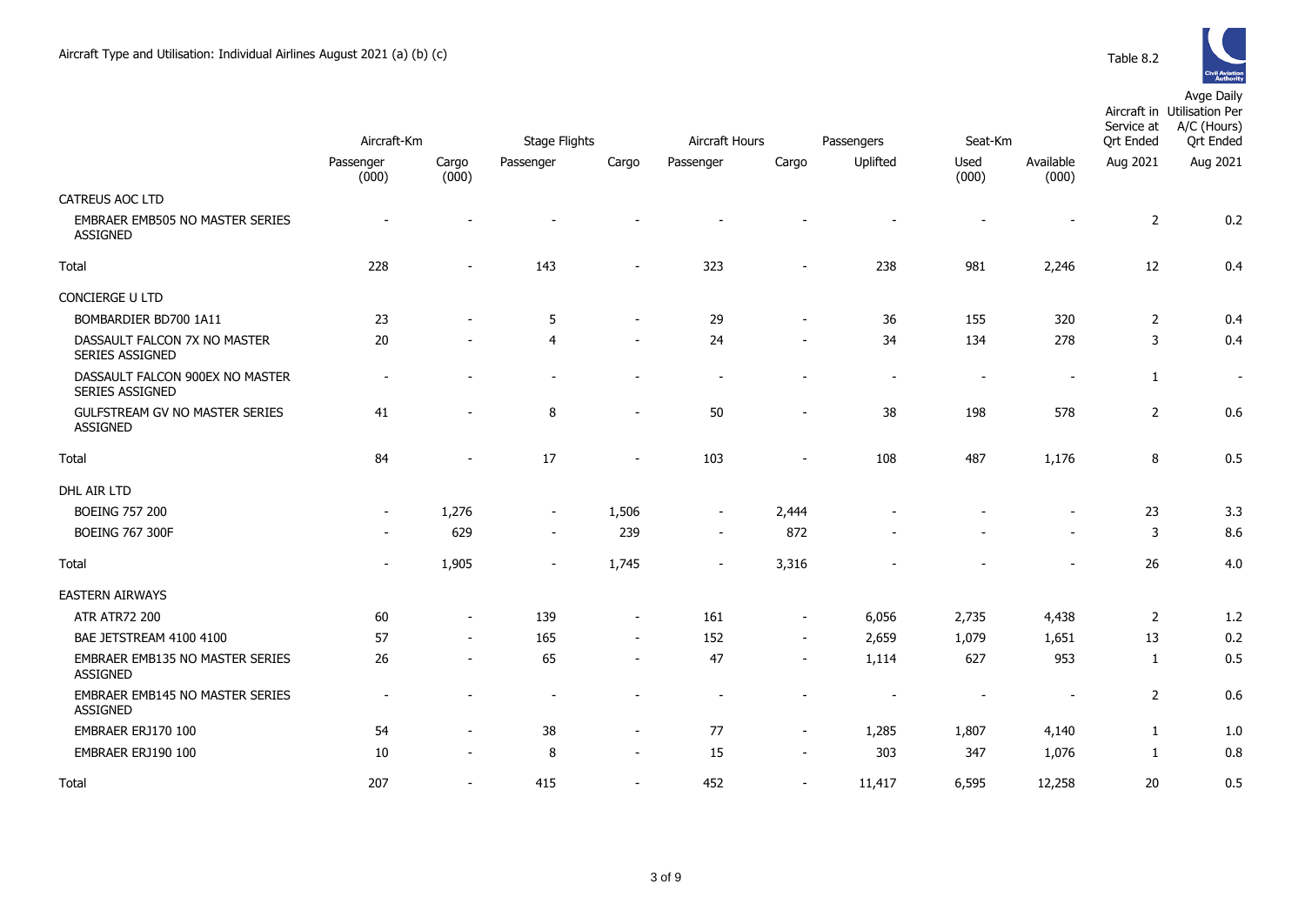

|                                                           |                          |                          |                          |                          |                          |                          |                          |                |                          | Service at       | Aircraft in Utilisation Per<br>A/C (Hours)<br><b>Qrt Ended</b> |
|-----------------------------------------------------------|--------------------------|--------------------------|--------------------------|--------------------------|--------------------------|--------------------------|--------------------------|----------------|--------------------------|------------------|----------------------------------------------------------------|
|                                                           | Aircraft-Km              |                          | <b>Stage Flights</b>     |                          | Aircraft Hours           |                          | Passengers               | Seat-Km        |                          | <b>Qrt Ended</b> |                                                                |
|                                                           | Passenger<br>(000)       | Cargo<br>(000)           | Passenger                | Cargo                    | Passenger                | Cargo                    | Uplifted                 | Used<br>(000)  | Available<br>(000)       | Aug 2021         | Aug 2021                                                       |
| CATREUS AOC LTD                                           |                          |                          |                          |                          |                          |                          |                          |                |                          |                  |                                                                |
| <b>EMBRAER EMB505 NO MASTER SERIES</b><br><b>ASSIGNED</b> |                          |                          |                          |                          |                          |                          |                          |                |                          | $\overline{2}$   | 0.2                                                            |
| Total                                                     | 228                      | $\overline{\phantom{a}}$ | 143                      |                          | 323                      |                          | 238                      | 981            | 2,246                    | 12               | 0.4                                                            |
| <b>CONCIERGE U LTD</b>                                    |                          |                          |                          |                          |                          |                          |                          |                |                          |                  |                                                                |
| BOMBARDIER BD700 1A11                                     | 23                       |                          | 5                        | $\overline{\phantom{a}}$ | 29                       | $\sim$                   | 36                       | 155            | 320                      | 2                | 0.4                                                            |
| DASSAULT FALCON 7X NO MASTER<br><b>SERIES ASSIGNED</b>    | 20                       |                          | 4                        | $\overline{\phantom{a}}$ | 24                       | $\overline{\phantom{a}}$ | 34                       | 134            | 278                      | 3                | 0.4                                                            |
| DASSAULT FALCON 900EX NO MASTER<br>SERIES ASSIGNED        | $\overline{\phantom{a}}$ |                          |                          |                          | $\overline{\phantom{a}}$ |                          | $\overline{\phantom{a}}$ | $\overline{a}$ | $\overline{\phantom{a}}$ | $\mathbf{1}$     | $\sim$                                                         |
| <b>GULFSTREAM GV NO MASTER SERIES</b><br><b>ASSIGNED</b>  | 41                       |                          | 8                        | $\sim$                   | 50                       | $\sim$                   | 38                       | 198            | 578                      | $\overline{2}$   | 0.6                                                            |
| Total                                                     | 84                       |                          | 17                       | $\overline{\phantom{a}}$ | 103                      | $\overline{\phantom{a}}$ | 108                      | 487            | 1,176                    | 8                | 0.5                                                            |
| DHL AIR LTD                                               |                          |                          |                          |                          |                          |                          |                          |                |                          |                  |                                                                |
| <b>BOEING 757 200</b>                                     | $\overline{\phantom{a}}$ | 1,276                    | $\overline{\phantom{a}}$ | 1,506                    | $\overline{\phantom{a}}$ | 2,444                    |                          |                |                          | 23               | 3.3                                                            |
| <b>BOEING 767 300F</b>                                    |                          | 629                      | $\sim$                   | 239                      | $\sim$                   | 872                      |                          |                |                          | 3                | 8.6                                                            |
| Total                                                     | $\overline{\phantom{a}}$ | 1,905                    |                          | 1,745                    |                          | 3,316                    |                          |                |                          | 26               | 4.0                                                            |
| <b>EASTERN AIRWAYS</b>                                    |                          |                          |                          |                          |                          |                          |                          |                |                          |                  |                                                                |
| <b>ATR ATR72 200</b>                                      | 60                       | $\overline{\phantom{a}}$ | 139                      | $\blacksquare$           | 161                      | $\overline{\phantom{a}}$ | 6,056                    | 2,735          | 4,438                    | 2                | 1.2                                                            |
| BAE JETSTREAM 4100 4100                                   | 57                       | $\overline{\phantom{a}}$ | 165                      | $\sim$                   | 152                      | $\overline{\phantom{a}}$ | 2,659                    | 1,079          | 1,651                    | 13               | 0.2                                                            |
| <b>EMBRAER EMB135 NO MASTER SERIES</b><br><b>ASSIGNED</b> | 26                       | $\sim$                   | 65                       | $\overline{\phantom{a}}$ | 47                       | $\overline{\phantom{a}}$ | 1,114                    | 627            | 953                      | 1                | 0.5                                                            |
| EMBRAER EMB145 NO MASTER SERIES<br><b>ASSIGNED</b>        |                          |                          |                          |                          |                          |                          |                          |                |                          | $\overline{2}$   | 0.6                                                            |
| EMBRAER ERJ170 100                                        | 54                       |                          | 38                       | $\overline{\phantom{a}}$ | 77                       | $\overline{\phantom{a}}$ | 1,285                    | 1,807          | 4,140                    | $\mathbf{1}$     | 1.0                                                            |
| EMBRAER ERJ190 100                                        | 10                       |                          | 8                        | $\overline{\phantom{a}}$ | 15                       | $\overline{\phantom{a}}$ | 303                      | 347            | 1,076                    | 1                | 0.8                                                            |
| Total                                                     | 207                      | $\overline{\phantom{a}}$ | 415                      | $\sim$                   | 452                      | $\sim$                   | 11,417                   | 6,595          | 12,258                   | 20               | 0.5                                                            |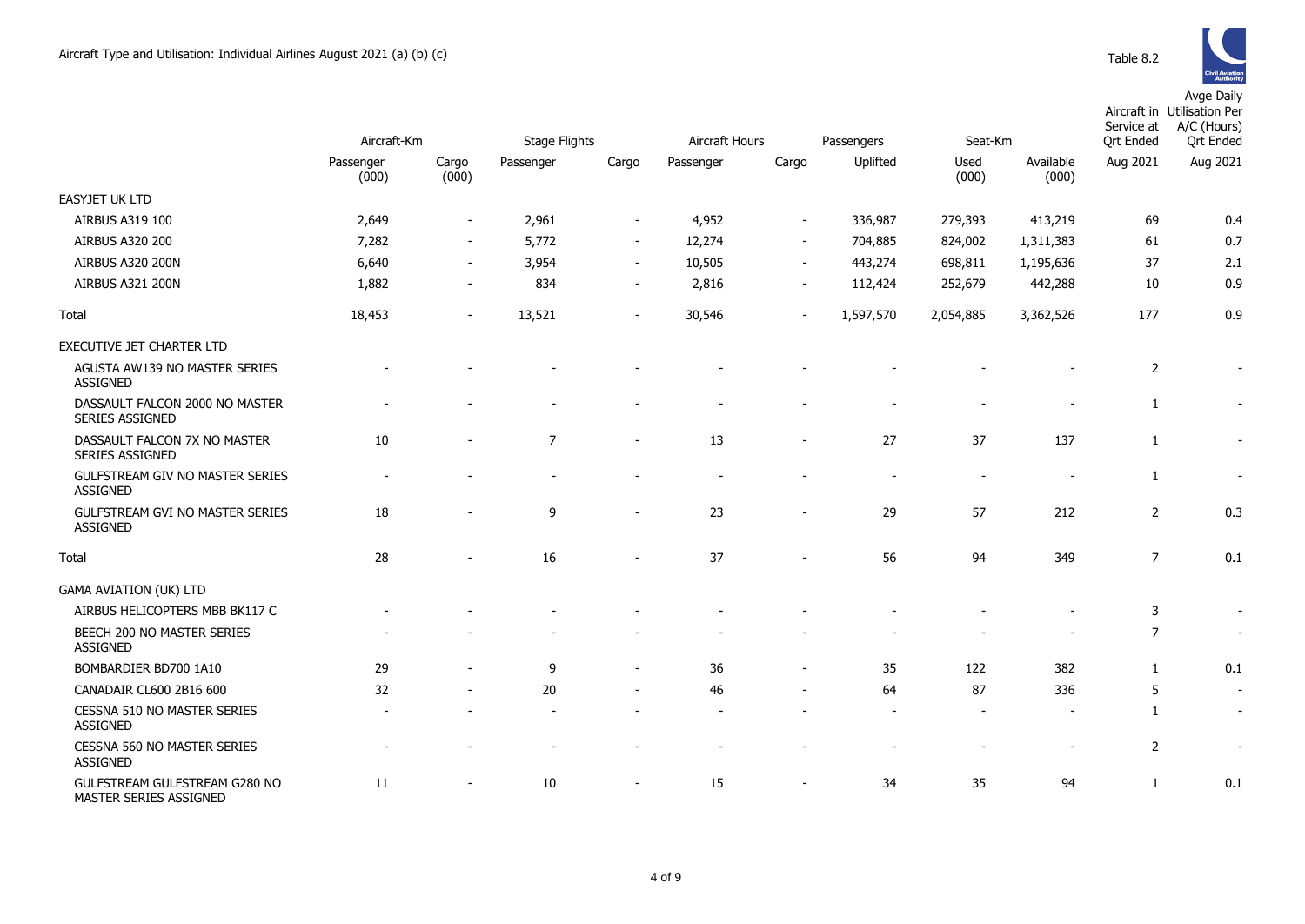

|                                                         | Aircraft-Km        |                          | <b>Stage Flights</b> |                          |           | Aircraft Hours           |                          | Seat-Km                  |                          | Service at<br><b>Ort Ended</b> | Aircraft in Utilisation Per<br>A/C (Hours)<br><b>Qrt Ended</b> |
|---------------------------------------------------------|--------------------|--------------------------|----------------------|--------------------------|-----------|--------------------------|--------------------------|--------------------------|--------------------------|--------------------------------|----------------------------------------------------------------|
|                                                         | Passenger<br>(000) | Cargo<br>(000)           | Passenger            | Cargo                    | Passenger | Cargo                    | Passengers<br>Uplifted   | Used<br>(000)            | Available<br>(000)       | Aug 2021                       | Aug 2021                                                       |
| <b>EASYJET UK LTD</b>                                   |                    |                          |                      |                          |           |                          |                          |                          |                          |                                |                                                                |
| AIRBUS A319 100                                         | 2,649              | $\blacksquare$           | 2,961                | $\overline{\phantom{a}}$ | 4,952     | $\overline{\phantom{a}}$ | 336,987                  | 279,393                  | 413,219                  | 69                             | 0.4                                                            |
| <b>AIRBUS A320 200</b>                                  | 7,282              | $\overline{\phantom{a}}$ | 5,772                | $\overline{\phantom{a}}$ | 12,274    | $\sim$                   | 704,885                  | 824,002                  | 1,311,383                | 61                             | 0.7                                                            |
| AIRBUS A320 200N                                        | 6,640              | $\overline{\phantom{a}}$ | 3,954                | $\blacksquare$           | 10,505    | $\sim$                   | 443,274                  | 698,811                  | 1,195,636                | 37                             | 2.1                                                            |
| AIRBUS A321 200N                                        | 1,882              | $\blacksquare$           | 834                  | $\blacksquare$           | 2,816     | $\overline{\phantom{a}}$ | 112,424                  | 252,679                  | 442,288                  | 10                             | 0.9                                                            |
| Total                                                   | 18,453             | $\blacksquare$           | 13,521               | $\overline{\phantom{a}}$ | 30,546    | $\sim$                   | 1,597,570                | 2,054,885                | 3,362,526                | 177                            | 0.9                                                            |
| EXECUTIVE JET CHARTER LTD                               |                    |                          |                      |                          |           |                          |                          |                          |                          |                                |                                                                |
| AGUSTA AW139 NO MASTER SERIES<br><b>ASSIGNED</b>        |                    |                          |                      |                          |           |                          |                          |                          |                          | 2                              |                                                                |
| DASSAULT FALCON 2000 NO MASTER<br>SERIES ASSIGNED       |                    |                          |                      |                          |           |                          |                          |                          |                          | 1                              |                                                                |
| DASSAULT FALCON 7X NO MASTER<br>SERIES ASSIGNED         | 10                 |                          | $\overline{7}$       |                          | 13        |                          | 27                       | 37                       | 137                      | $\mathbf{1}$                   | $\overline{\phantom{a}}$                                       |
| GULFSTREAM GIV NO MASTER SERIES<br><b>ASSIGNED</b>      |                    |                          |                      |                          |           |                          |                          | $\sim$                   | $\blacksquare$           | $\mathbf{1}$                   | $\blacksquare$                                                 |
| GULFSTREAM GVI NO MASTER SERIES<br><b>ASSIGNED</b>      | 18                 |                          | 9                    |                          | 23        |                          | 29                       | 57                       | 212                      | $\overline{2}$                 | 0.3                                                            |
| Total                                                   | 28                 |                          | 16                   |                          | 37        | $\overline{\phantom{a}}$ | 56                       | 94                       | 349                      | $\overline{7}$                 | 0.1                                                            |
| <b>GAMA AVIATION (UK) LTD</b>                           |                    |                          |                      |                          |           |                          |                          |                          |                          |                                |                                                                |
| AIRBUS HELICOPTERS MBB BK117 C                          |                    |                          |                      |                          |           |                          |                          |                          |                          | 3                              |                                                                |
| BEECH 200 NO MASTER SERIES<br><b>ASSIGNED</b>           |                    |                          |                      |                          |           |                          |                          |                          |                          | $\overline{7}$                 | $\overline{\phantom{a}}$                                       |
| BOMBARDIER BD700 1A10                                   | 29                 |                          | 9                    | $\blacksquare$           | 36        | $\sim$                   | 35                       | 122                      | 382                      | $\mathbf{1}$                   | 0.1                                                            |
| CANADAIR CL600 2B16 600                                 | 32                 |                          | 20                   |                          | 46        |                          | 64                       | 87                       | 336                      | 5                              | $\overline{\phantom{a}}$                                       |
| CESSNA 510 NO MASTER SERIES<br><b>ASSIGNED</b>          |                    |                          |                      |                          |           |                          | $\overline{\phantom{a}}$ |                          |                          | $\mathbf{1}$                   |                                                                |
| CESSNA 560 NO MASTER SERIES<br>ASSIGNED                 |                    |                          |                      |                          |           |                          |                          | $\overline{\phantom{a}}$ | $\overline{\phantom{a}}$ | $\overline{2}$                 | $\overline{\phantom{a}}$                                       |
| GULFSTREAM GULFSTREAM G280 NO<br>MASTER SERIES ASSIGNED | 11                 |                          | 10                   |                          | 15        | $\overline{\phantom{a}}$ | 34                       | 35                       | 94                       | $\mathbf{1}$                   | 0.1                                                            |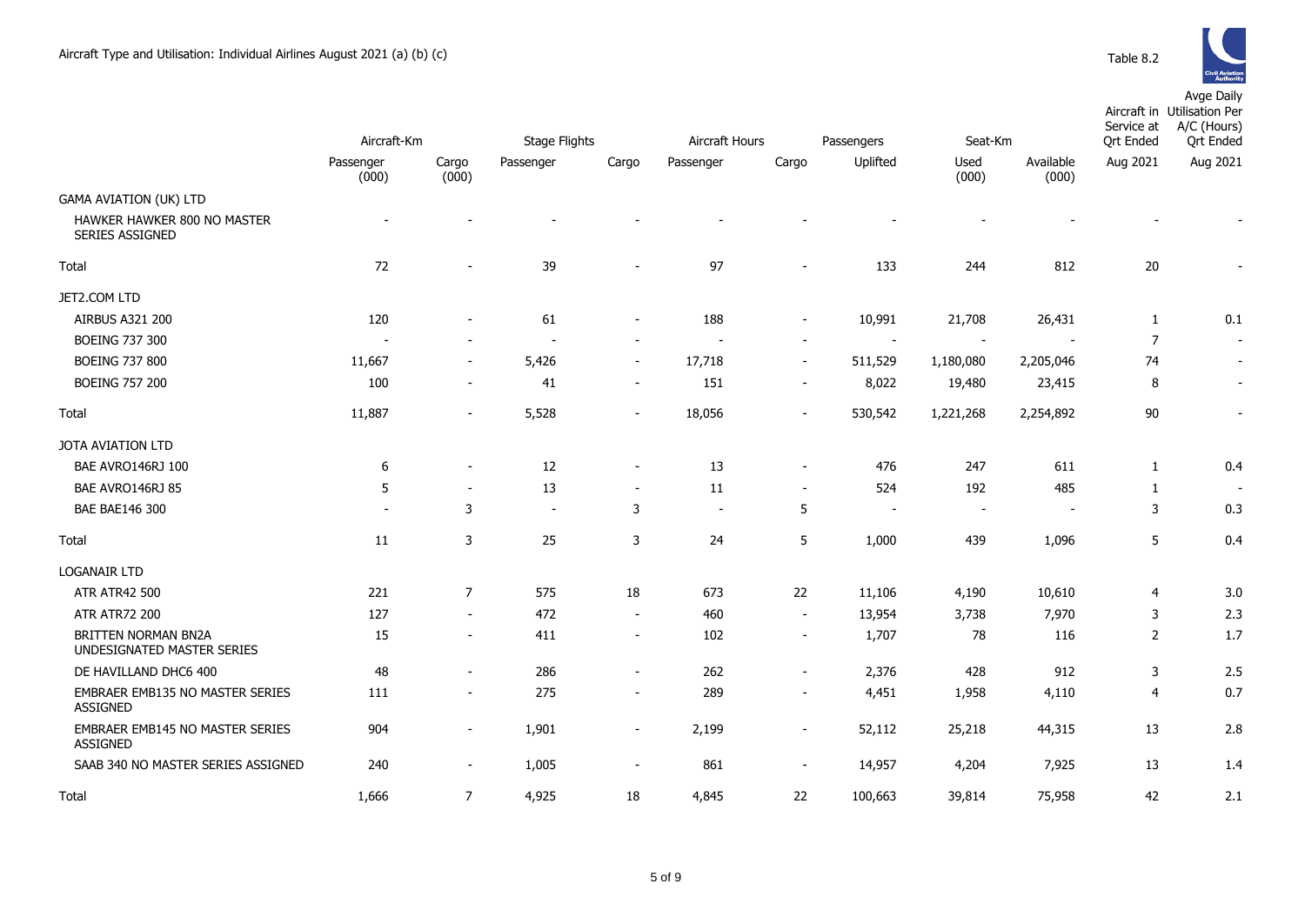

|                                                          |                    |                          |                          |                          |                          |                          |                          |               |                    | Service at                           | Aircraft in Utilisation Per<br>A/C (Hours) |
|----------------------------------------------------------|--------------------|--------------------------|--------------------------|--------------------------|--------------------------|--------------------------|--------------------------|---------------|--------------------|--------------------------------------|--------------------------------------------|
|                                                          | Aircraft-Km        |                          | Stage Flights            |                          | Aircraft Hours           |                          | Passengers               | Seat-Km       |                    | <b>Qrt Ended</b><br><b>Qrt Ended</b> |                                            |
|                                                          | Passenger<br>(000) | Cargo<br>(000)           | Passenger                | Cargo                    | Passenger                | Cargo                    | Uplifted                 | Used<br>(000) | Available<br>(000) | Aug 2021                             | Aug 2021                                   |
| <b>GAMA AVIATION (UK) LTD</b>                            |                    |                          |                          |                          |                          |                          |                          |               |                    |                                      |                                            |
| HAWKER HAWKER 800 NO MASTER<br>SERIES ASSIGNED           |                    |                          |                          |                          |                          |                          |                          |               |                    |                                      |                                            |
| Total                                                    | 72                 |                          | 39                       |                          | 97                       |                          | 133                      | 244           | 812                | $20\,$                               |                                            |
| JET2.COM LTD                                             |                    |                          |                          |                          |                          |                          |                          |               |                    |                                      |                                            |
| AIRBUS A321 200                                          | 120                |                          | 61                       |                          | 188                      |                          | 10,991                   | 21,708        | 26,431             | $\mathbf{1}$                         | 0.1                                        |
| <b>BOEING 737 300</b>                                    |                    |                          |                          |                          |                          |                          | $\overline{a}$           |               |                    | $\overline{7}$                       | $\overline{\phantom{a}}$                   |
| <b>BOEING 737 800</b>                                    | 11,667             |                          | 5,426                    | $\sim$                   | 17,718                   | $\sim$                   | 511,529                  | 1,180,080     | 2,205,046          | 74                                   |                                            |
| <b>BOEING 757 200</b>                                    | 100                | $\overline{\phantom{a}}$ | 41                       | $\overline{\phantom{a}}$ | 151                      | $\sim$                   | 8,022                    | 19,480        | 23,415             | 8                                    |                                            |
| Total                                                    | 11,887             | $\sim$                   | 5,528                    | $\overline{\phantom{a}}$ | 18,056                   |                          | 530,542                  | 1,221,268     | 2,254,892          | $90\,$                               |                                            |
| JOTA AVIATION LTD                                        |                    |                          |                          |                          |                          |                          |                          |               |                    |                                      |                                            |
| BAE AVRO146RJ 100                                        | 6                  |                          | 12                       | $\sim$                   | 13                       | $\sim$                   | 476                      | 247           | 611                | $\mathbf{1}$                         | 0.4                                        |
| BAE AVRO146RJ 85                                         | 5                  |                          | 13                       |                          | 11                       |                          | 524                      | 192           | 485                | 1                                    |                                            |
| <b>BAE BAE146 300</b>                                    |                    | 3                        | $\overline{\phantom{a}}$ | 3                        | $\overline{\phantom{a}}$ | 5                        | $\overline{\phantom{a}}$ |               |                    | 3                                    | 0.3                                        |
| Total                                                    | 11                 | 3                        | 25                       | 3                        | 24                       | 5                        | 1,000                    | 439           | 1,096              | 5                                    | 0.4                                        |
| <b>LOGANAIR LTD</b>                                      |                    |                          |                          |                          |                          |                          |                          |               |                    |                                      |                                            |
| <b>ATR ATR42 500</b>                                     | 221                | $\overline{7}$           | 575                      | 18                       | 673                      | 22                       | 11,106                   | 4,190         | 10,610             | 4                                    | 3.0                                        |
| <b>ATR ATR72 200</b>                                     | 127                | $\sim$                   | 472                      | $\sim$                   | 460                      | $\sim$                   | 13,954                   | 3,738         | 7,970              | 3                                    | 2.3                                        |
| <b>BRITTEN NORMAN BN2A</b><br>UNDESIGNATED MASTER SERIES | 15                 | $\sim$                   | 411                      | $\sim$                   | 102                      | $\overline{\phantom{a}}$ | 1,707                    | 78            | 116                | 2                                    | $1.7$                                      |
| DE HAVILLAND DHC6 400                                    | 48                 | $\sim$                   | 286                      | $\sim$                   | 262                      | $\sim$                   | 2,376                    | 428           | 912                | 3                                    | 2.5                                        |
| EMBRAER EMB135 NO MASTER SERIES<br><b>ASSIGNED</b>       | 111                | $\sim$                   | 275                      |                          | 289                      |                          | 4,451                    | 1,958         | 4,110              | $\overline{4}$                       | 0.7                                        |
| EMBRAER EMB145 NO MASTER SERIES<br><b>ASSIGNED</b>       | 904                | $\sim$                   | 1,901                    | $\sim$                   | 2,199                    | $\sim$                   | 52,112                   | 25,218        | 44,315             | 13                                   | 2.8                                        |
| SAAB 340 NO MASTER SERIES ASSIGNED                       | 240                | $\sim$                   | 1,005                    | $\sim$                   | 861                      | $\sim$                   | 14,957                   | 4,204         | 7,925              | 13                                   | 1.4                                        |
| Total                                                    | 1.666              | $\overline{7}$           | 4,925                    | 18                       | 4,845                    | 22                       | 100,663                  | 39,814        | 75.958             | 42                                   | 2.1                                        |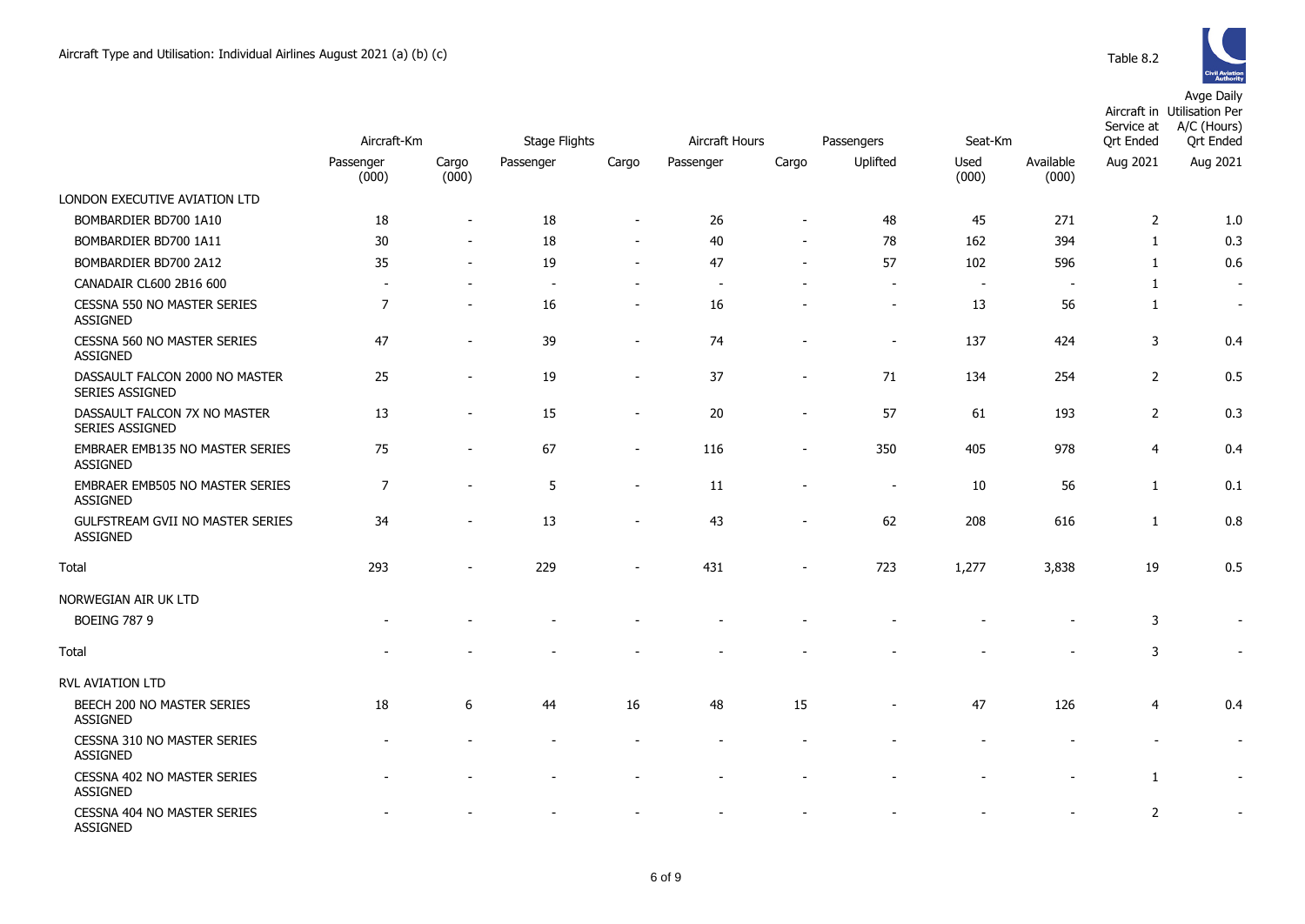

|                                                    | Aircraft-Km              |                          | <b>Stage Flights</b><br>Aircraft Hours |                          |           |                          | Passengers               | Seat-Km        |                    | Service at<br><b>Ort Ended</b> | Aircraft in Utilisation Per<br>A/C (Hours)<br>Ort Ended |
|----------------------------------------------------|--------------------------|--------------------------|----------------------------------------|--------------------------|-----------|--------------------------|--------------------------|----------------|--------------------|--------------------------------|---------------------------------------------------------|
|                                                    | Passenger<br>(000)       | Cargo<br>(000)           | Passenger                              | Cargo                    | Passenger | Cargo                    | Uplifted                 | Used<br>(000)  | Available<br>(000) | Aug 2021                       | Aug 2021                                                |
| LONDON EXECUTIVE AVIATION LTD                      |                          |                          |                                        |                          |           |                          |                          |                |                    |                                |                                                         |
| BOMBARDIER BD700 1A10                              | 18                       | $\blacksquare$           | 18                                     | $\blacksquare$           | 26        | $\overline{\phantom{a}}$ | 48                       | 45             | 271                | 2                              | 1.0                                                     |
| BOMBARDIER BD700 1A11                              | 30                       | $\overline{a}$           | 18                                     | $\sim$                   | 40        | $\sim$                   | 78                       | 162            | 394                | $\mathbf{1}$                   | 0.3                                                     |
| BOMBARDIER BD700 2A12                              | 35                       | $\overline{a}$           | 19                                     | $\sim$                   | 47        | $\sim$                   | 57                       | 102            | 596                | 1                              | 0.6                                                     |
| CANADAIR CL600 2B16 600                            | $\overline{\phantom{a}}$ | $\overline{\phantom{a}}$ |                                        | $\overline{\phantom{a}}$ |           |                          | $\overline{\phantom{a}}$ | $\blacksquare$ | $\sim$             | $\mathbf{1}$                   | $\overline{\phantom{a}}$                                |
| CESSNA 550 NO MASTER SERIES<br><b>ASSIGNED</b>     | $\overline{7}$           | $\overline{\phantom{a}}$ | 16                                     | $\overline{\phantom{a}}$ | 16        |                          | $\overline{\phantom{a}}$ | 13             | 56                 | $\mathbf{1}$                   | $\sim$                                                  |
| CESSNA 560 NO MASTER SERIES<br>ASSIGNED            | 47                       |                          | 39                                     | $\overline{a}$           | 74        |                          |                          | 137            | 424                | 3                              | 0.4                                                     |
| DASSAULT FALCON 2000 NO MASTER<br>SERIES ASSIGNED  | 25                       | $\blacksquare$           | 19                                     | $\sim$                   | 37        | $\overline{\phantom{a}}$ | 71                       | 134            | 254                | $\overline{2}$                 | 0.5                                                     |
| DASSAULT FALCON 7X NO MASTER<br>SERIES ASSIGNED    | 13                       | $\blacksquare$           | 15                                     | $\overline{a}$           | 20        | $\blacksquare$           | 57                       | 61             | 193                | $\overline{2}$                 | 0.3                                                     |
| EMBRAER EMB135 NO MASTER SERIES<br><b>ASSIGNED</b> | 75                       |                          | 67                                     | $\overline{a}$           | 116       |                          | 350                      | 405            | 978                | 4                              | 0.4                                                     |
| EMBRAER EMB505 NO MASTER SERIES<br><b>ASSIGNED</b> | 7                        | $\blacksquare$           | 5                                      | $\blacksquare$           | 11        | $\overline{\phantom{a}}$ | $\overline{\phantom{a}}$ | 10             | 56                 | $\mathbf{1}$                   | 0.1                                                     |
| GULFSTREAM GVII NO MASTER SERIES<br>ASSIGNED       | 34                       | $\overline{\phantom{a}}$ | 13                                     | $\overline{\phantom{a}}$ | 43        | $\sim$                   | 62                       | 208            | 616                | $\mathbf{1}$                   | 0.8                                                     |
| Total                                              | 293                      |                          | 229                                    |                          | 431       |                          | 723                      | 1,277          | 3,838              | 19                             | 0.5                                                     |
| NORWEGIAN AIR UK LTD                               |                          |                          |                                        |                          |           |                          |                          |                |                    |                                |                                                         |
| <b>BOEING 787 9</b>                                |                          |                          |                                        |                          |           |                          |                          |                |                    | 3                              | $\sim$                                                  |
| Total                                              |                          |                          |                                        |                          |           |                          |                          |                |                    | 3                              | $\blacksquare$                                          |
| <b>RVL AVIATION LTD</b>                            |                          |                          |                                        |                          |           |                          |                          |                |                    |                                |                                                         |
| BEECH 200 NO MASTER SERIES<br>ASSIGNED             | 18                       | 6                        | 44                                     | 16                       | 48        | 15                       |                          | 47             | 126                | 4                              | 0.4                                                     |
| CESSNA 310 NO MASTER SERIES<br><b>ASSIGNED</b>     |                          |                          |                                        |                          |           |                          |                          |                |                    |                                | $\overline{\phantom{a}}$                                |
| CESSNA 402 NO MASTER SERIES<br><b>ASSIGNED</b>     |                          |                          |                                        |                          |           |                          |                          |                |                    | $\mathbf{1}$                   | $\sim$                                                  |
| CESSNA 404 NO MASTER SERIES<br>ASSIGNED            |                          |                          |                                        |                          |           |                          |                          |                |                    | $\overline{2}$                 |                                                         |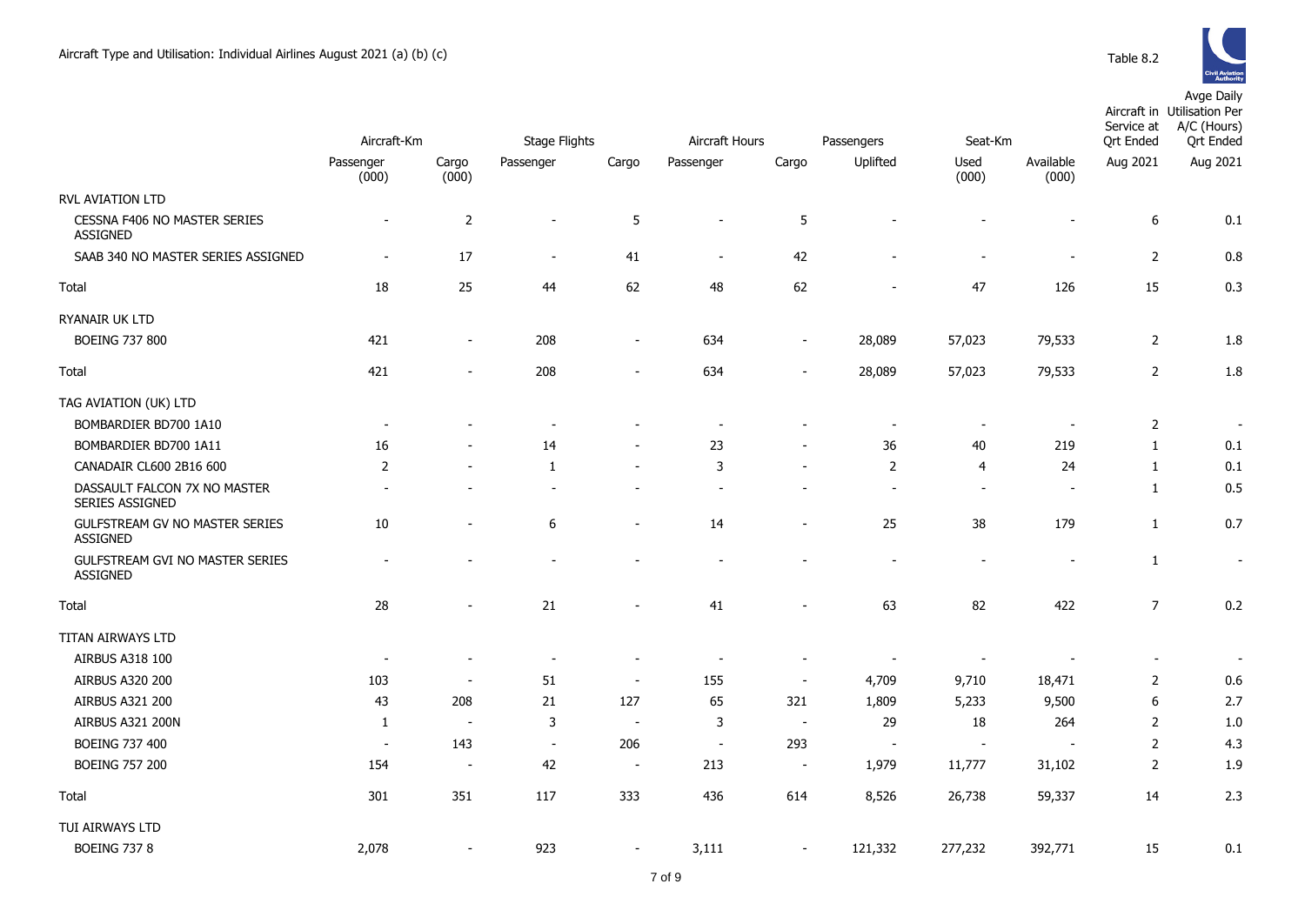

|                                                    | Aircraft-Km              |                          | <b>Stage Flights</b>         |                              | Aircraft Hours           |                          | Passengers               | Seat-Km                  |                          | Service at<br>Ort Ended  | Aircraft in Utilisation Per<br>A/C (Hours)<br><b>Qrt Ended</b> |
|----------------------------------------------------|--------------------------|--------------------------|------------------------------|------------------------------|--------------------------|--------------------------|--------------------------|--------------------------|--------------------------|--------------------------|----------------------------------------------------------------|
|                                                    | Passenger                |                          | Passenger                    | Cargo                        |                          |                          | Uplifted                 | Used                     | Available                | Aug 2021                 | Aug 2021                                                       |
|                                                    | (000)                    | Cargo<br>(000)           |                              |                              | Passenger                | Cargo                    |                          | (000)                    | (000)                    |                          |                                                                |
| <b>RVL AVIATION LTD</b>                            |                          |                          |                              |                              |                          |                          |                          |                          |                          |                          |                                                                |
| CESSNA F406 NO MASTER SERIES<br><b>ASSIGNED</b>    | $\blacksquare$           | $\mathbf 2$              | $\overline{a}$               | 5                            | $\overline{\phantom{a}}$ | 5                        |                          | $\blacksquare$           |                          | $\boldsymbol{6}$         | 0.1                                                            |
| SAAB 340 NO MASTER SERIES ASSIGNED                 | $\blacksquare$           | 17                       | $\overline{\phantom{m}}$     | 41                           | $\blacksquare$           | 42                       |                          | $\blacksquare$           |                          | $\overline{2}$           | 0.8                                                            |
| Total                                              | 18                       | 25                       | 44                           | 62                           | 48                       | 62                       |                          | 47                       | 126                      | 15                       | 0.3                                                            |
| RYANAIR UK LTD                                     |                          |                          |                              |                              |                          |                          |                          |                          |                          |                          |                                                                |
| <b>BOEING 737 800</b>                              | 421                      | $\overline{\phantom{m}}$ | 208                          | $\overline{\phantom{m}}$     | 634                      | $\overline{\phantom{a}}$ | 28,089                   | 57,023                   | 79,533                   | $\overline{2}$           | 1.8                                                            |
| Total                                              | 421                      | $\overline{\phantom{m}}$ | 208                          | $\overline{\phantom{m}}$     | 634                      | $\overline{\phantom{a}}$ | 28,089                   | 57,023                   | 79,533                   | $\overline{2}$           | 1.8                                                            |
| TAG AVIATION (UK) LTD                              |                          |                          |                              |                              |                          |                          |                          |                          |                          |                          |                                                                |
| BOMBARDIER BD700 1A10                              | $\overline{\phantom{a}}$ |                          | $\overline{\phantom{a}}$     |                              | $\overline{\phantom{a}}$ |                          | $\overline{\phantom{a}}$ | $\overline{\phantom{a}}$ |                          | $\overline{2}$           | $\overline{\phantom{a}}$                                       |
| BOMBARDIER BD700 1A11                              | 16                       | $\overline{a}$           | 14                           | $\qquad \qquad \blacksquare$ | 23                       | $\overline{a}$           | 36                       | 40                       | 219                      | $\mathbf{1}$             | 0.1                                                            |
| CANADAIR CL600 2B16 600                            | $\overline{2}$           | $\overline{\phantom{a}}$ | 1                            | $\overline{\phantom{a}}$     | 3                        | $\overline{\phantom{a}}$ | $\overline{2}$           | 4                        | 24                       | $\mathbf{1}$             | 0.1                                                            |
| DASSAULT FALCON 7X NO MASTER<br>SERIES ASSIGNED    | $\overline{a}$           | $\overline{\phantom{a}}$ | $\overline{\phantom{a}}$     | $\overline{\phantom{a}}$     | $\overline{\phantom{a}}$ | $\blacksquare$           |                          | $\sim$                   | $\blacksquare$           | $\mathbf{1}$             | 0.5                                                            |
| GULFSTREAM GV NO MASTER SERIES<br><b>ASSIGNED</b>  | 10                       | $\overline{\phantom{a}}$ | 6                            | $\overline{\phantom{a}}$     | 14                       | $\overline{\phantom{a}}$ | 25                       | 38                       | 179                      | $\mathbf{1}$             | 0.7                                                            |
| GULFSTREAM GVI NO MASTER SERIES<br><b>ASSIGNED</b> | $\overline{a}$           |                          | $\qquad \qquad \blacksquare$ | $\qquad \qquad \blacksquare$ | $\overline{a}$           |                          |                          | $\overline{\phantom{a}}$ | $\overline{\phantom{a}}$ | $\mathbf{1}$             | $\overline{\phantom{a}}$                                       |
| Total                                              | 28                       | $\overline{\phantom{a}}$ | 21                           | $\overline{\phantom{a}}$     | 41                       | $\blacksquare$           | 63                       | 82                       | 422                      | $\overline{7}$           | 0.2                                                            |
| TITAN AIRWAYS LTD                                  |                          |                          |                              |                              |                          |                          |                          |                          |                          |                          |                                                                |
| AIRBUS A318 100                                    | $\sim$                   | $\overline{\phantom{a}}$ | $\sim$                       | $\overline{\phantom{a}}$     |                          | $\overline{\phantom{a}}$ | $\sim$                   | $\overline{\phantom{a}}$ |                          | $\overline{\phantom{a}}$ | $\blacksquare$                                                 |
| AIRBUS A320 200                                    | 103                      | $\overline{\phantom{a}}$ | 51                           | $\overline{\phantom{a}}$     | 155                      | $\sim$                   | 4,709                    | 9,710                    | 18,471                   | $\overline{2}$           | 0.6                                                            |
| AIRBUS A321 200                                    | 43                       | 208                      | 21                           | 127                          | 65                       | 321                      | 1,809                    | 5,233                    | 9,500                    | $\boldsymbol{6}$         | 2.7                                                            |
| AIRBUS A321 200N                                   | 1                        | $\overline{\phantom{a}}$ | $\mathsf 3$                  | $\sim$                       | 3                        | $\sim$                   | 29                       | 18                       | 264                      | $\overline{2}$           | 1.0                                                            |
| <b>BOEING 737 400</b>                              | $\blacksquare$           | 143                      | $\sim$                       | 206                          | $\overline{\phantom{a}}$ | 293                      | $\sim$                   | $\overline{\phantom{a}}$ |                          | $\overline{2}$           | 4.3                                                            |
| <b>BOEING 757 200</b>                              | 154                      | $\overline{\phantom{a}}$ | 42                           | $\sim$                       | 213                      | $\sim$                   | 1,979                    | 11,777                   | 31,102                   | $\overline{2}$           | 1.9                                                            |
| Total                                              | 301                      | 351                      | 117                          | 333                          | 436                      | 614                      | 8,526                    | 26,738                   | 59,337                   | 14                       | 2.3                                                            |
| TUI AIRWAYS LTD                                    |                          |                          |                              |                              |                          |                          |                          |                          |                          |                          |                                                                |
| <b>BOEING 737 8</b>                                | 2,078                    |                          | 923                          | $\overline{a}$               | 3,111                    |                          | 121,332                  | 277,232                  | 392,771                  | 15                       | 0.1                                                            |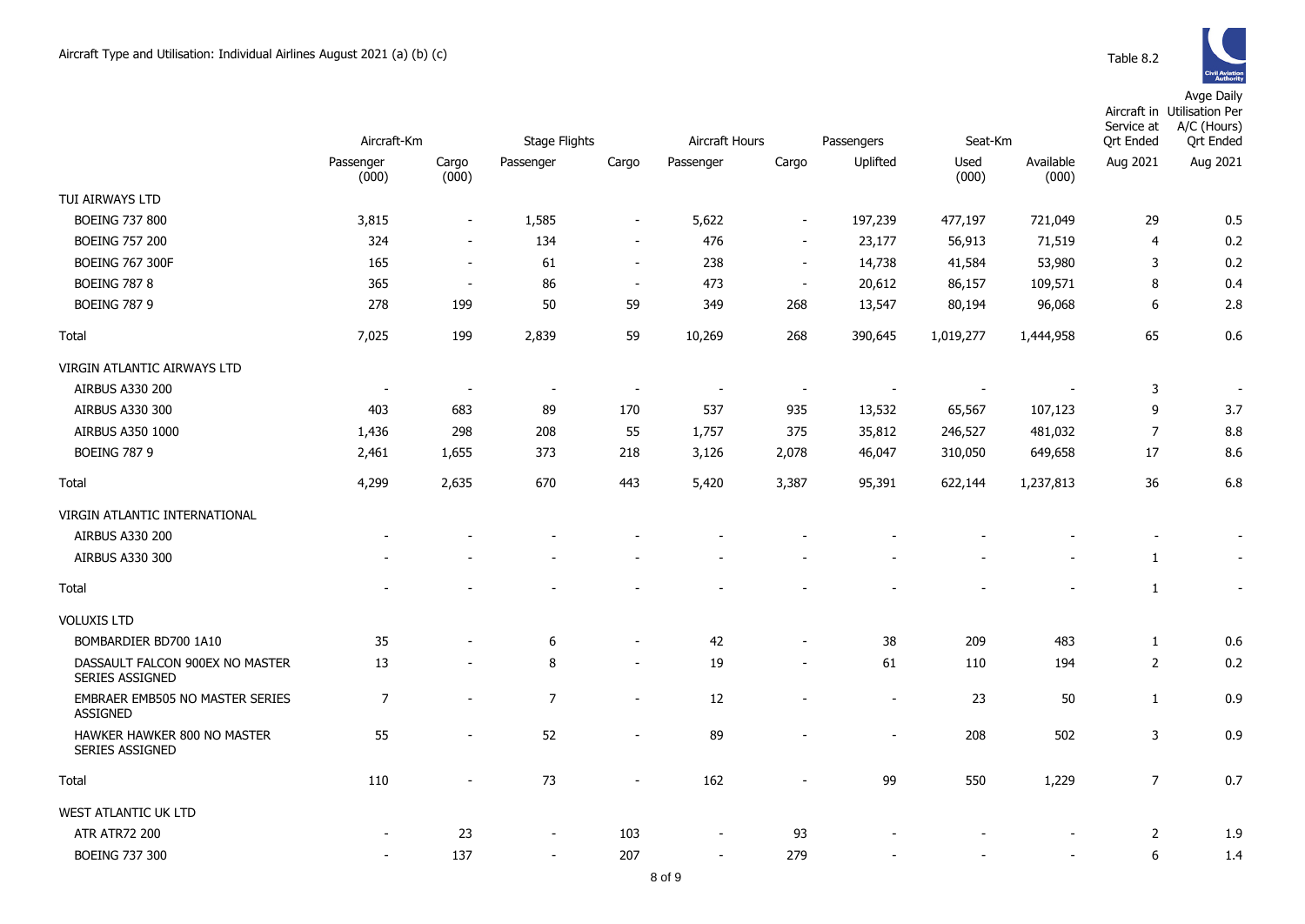

|                                                    |                          |                          |                          |                          |                |                          | Seat-Km    |               |                    | Service at               | Aircraft in Utilisation Per<br>A/C (Hours)<br><b>Qrt Ended</b> |
|----------------------------------------------------|--------------------------|--------------------------|--------------------------|--------------------------|----------------|--------------------------|------------|---------------|--------------------|--------------------------|----------------------------------------------------------------|
|                                                    | Aircraft-Km              |                          | Stage Flights            |                          | Aircraft Hours |                          | Passengers |               |                    | <b>Qrt Ended</b>         |                                                                |
|                                                    | Passenger<br>(000)       | Cargo<br>(000)           | Passenger                | Cargo                    | Passenger      | Cargo                    | Uplifted   | Used<br>(000) | Available<br>(000) | Aug 2021                 | Aug 2021                                                       |
| TUI AIRWAYS LTD                                    |                          |                          |                          |                          |                |                          |            |               |                    |                          |                                                                |
| <b>BOEING 737 800</b>                              | 3,815                    | $\overline{\phantom{a}}$ | 1,585                    | $\overline{\phantom{a}}$ | 5,622          | $\overline{\phantom{a}}$ | 197,239    | 477,197       | 721,049            | 29                       | 0.5                                                            |
| <b>BOEING 757 200</b>                              | 324                      | $\sim$                   | 134                      | $\sim$                   | 476            | $\blacksquare$           | 23,177     | 56,913        | 71,519             | $\overline{4}$           | 0.2                                                            |
| <b>BOEING 767 300F</b>                             | 165                      | $\overline{\phantom{a}}$ | 61                       | $\sim$                   | 238            | $\sim$                   | 14,738     | 41,584        | 53,980             | 3                        | 0.2                                                            |
| <b>BOEING 787 8</b>                                | 365                      | $\sim$                   | 86                       | $\sim$                   | 473            | $\sim$                   | 20,612     | 86,157        | 109,571            | 8                        | 0.4                                                            |
| <b>BOEING 787 9</b>                                | 278                      | 199                      | 50                       | 59                       | 349            | 268                      | 13,547     | 80,194        | 96,068             | 6                        | 2.8                                                            |
| Total                                              | 7,025                    | 199                      | 2,839                    | 59                       | 10,269         | 268                      | 390,645    | 1,019,277     | 1,444,958          | 65                       | 0.6                                                            |
| VIRGIN ATLANTIC AIRWAYS LTD                        |                          |                          |                          |                          |                |                          |            |               |                    |                          |                                                                |
| AIRBUS A330 200                                    | $\overline{\phantom{a}}$ | $\overline{\phantom{a}}$ | $\overline{\phantom{a}}$ | $\overline{\phantom{a}}$ |                | $\overline{\phantom{a}}$ |            |               |                    | 3                        |                                                                |
| AIRBUS A330 300                                    | 403                      | 683                      | 89                       | 170                      | 537            | 935                      | 13,532     | 65,567        | 107,123            | 9                        | 3.7                                                            |
| AIRBUS A350 1000                                   | 1,436                    | 298                      | 208                      | 55                       | 1,757          | 375                      | 35,812     | 246,527       | 481,032            | $\overline{7}$           | 8.8                                                            |
| <b>BOEING 787 9</b>                                | 2,461                    | 1,655                    | 373                      | 218                      | 3,126          | 2,078                    | 46,047     | 310,050       | 649,658            | 17                       | 8.6                                                            |
| Total                                              | 4,299                    | 2,635                    | 670                      | 443                      | 5,420          | 3,387                    | 95,391     | 622,144       | 1,237,813          | 36                       | 6.8                                                            |
| VIRGIN ATLANTIC INTERNATIONAL                      |                          |                          |                          |                          |                |                          |            |               |                    |                          |                                                                |
| AIRBUS A330 200                                    |                          |                          |                          |                          |                |                          |            |               |                    | $\overline{\phantom{a}}$ |                                                                |
| AIRBUS A330 300                                    |                          |                          |                          |                          |                |                          |            |               |                    | 1                        |                                                                |
| Total                                              |                          |                          |                          |                          |                |                          |            |               |                    | $\mathbf{1}$             | $\blacksquare$                                                 |
| <b>VOLUXIS LTD</b>                                 |                          |                          |                          |                          |                |                          |            |               |                    |                          |                                                                |
| BOMBARDIER BD700 1A10                              | 35                       |                          | 6                        | $\overline{\phantom{m}}$ | 42             | $\overline{\phantom{a}}$ | 38         | 209           | 483                | $1\,$                    | 0.6                                                            |
| DASSAULT FALCON 900EX NO MASTER<br>SERIES ASSIGNED | 13                       | $\overline{\phantom{a}}$ | 8                        | $\overline{a}$           | 19             | $\blacksquare$           | 61         | 110           | 194                | $\overline{2}$           | 0.2                                                            |
| EMBRAER EMB505 NO MASTER SERIES<br><b>ASSIGNED</b> | 7                        | $\overline{a}$           | $\overline{7}$           | $\blacksquare$           | 12             |                          | $\sim$     | 23            | 50                 | $\mathbf{1}$             | 0.9                                                            |
| HAWKER HAWKER 800 NO MASTER<br>SERIES ASSIGNED     | 55                       | $\overline{\phantom{a}}$ | 52                       | $\overline{\phantom{a}}$ | 89             |                          |            | 208           | 502                | $\overline{3}$           | 0.9                                                            |
| Total                                              | 110                      | $\overline{\phantom{a}}$ | 73                       | $\overline{\phantom{a}}$ | 162            | $\overline{\phantom{a}}$ | 99         | 550           | 1,229              | $\overline{7}$           | 0.7                                                            |
| WEST ATLANTIC UK LTD                               |                          |                          |                          |                          |                |                          |            |               |                    |                          |                                                                |
| <b>ATR ATR72 200</b>                               |                          | 23                       | $\blacksquare$           | 103                      |                | 93                       |            |               |                    | 2                        | 1.9                                                            |
| <b>BOEING 737 300</b>                              | $\sim$                   | 137                      | $\sim$                   | 207                      | $\sim$         | 279                      |            |               |                    | 6                        | 1.4                                                            |